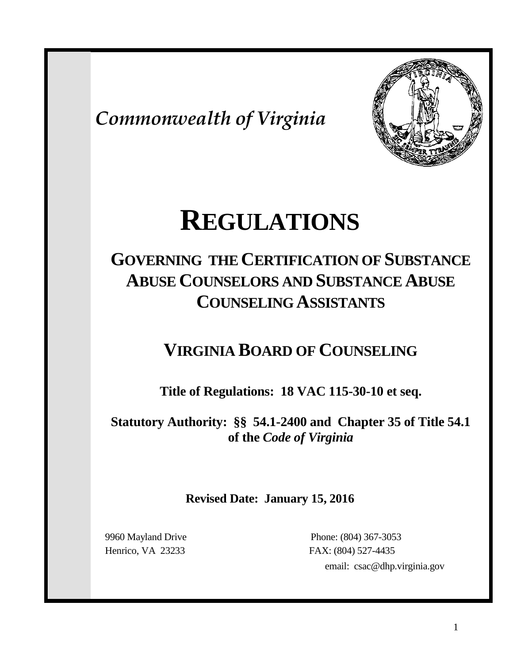*Commonwealth of Virginia*



# **REGULATIONS**

# **GOVERNING THE CERTIFICATION OF SUBSTANCE ABUSE COUNSELORS AND SUBSTANCE ABUSE COUNSELING ASSISTANTS**

# **VIRGINIA BOARD OF COUNSELING**

**Title of Regulations: 18 VAC 115-30-10 et seq.**

**Statutory Authority: §§ 54.1-2400 and Chapter 35 of Title 54.1 of the** *Code of Virginia*

**Revised Date: January 15, 2016**

 9960 Mayland Drive Phone: (804) 367-3053 Henrico, VA 23233 FAX: (804) 527-4435 email: csac@dhp.virginia.gov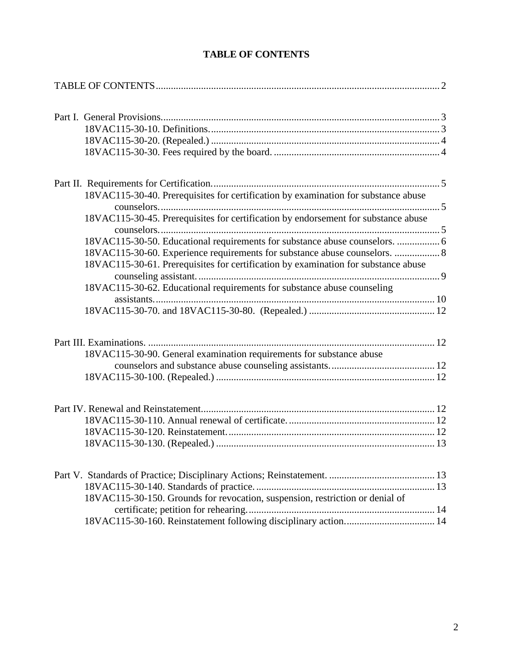<span id="page-1-0"></span>

| 18VAC115-30-40. Prerequisites for certification by examination for substance abuse                                                                               |  |
|------------------------------------------------------------------------------------------------------------------------------------------------------------------|--|
|                                                                                                                                                                  |  |
| 18VAC115-30-45. Prerequisites for certification by endorsement for substance abuse                                                                               |  |
|                                                                                                                                                                  |  |
| 18VAC115-30-50. Educational requirements for substance abuse counselors.  6                                                                                      |  |
| 18VAC115-30-60. Experience requirements for substance abuse counselors.  8<br>18VAC115-30-61. Prerequisites for certification by examination for substance abuse |  |
|                                                                                                                                                                  |  |
| 18VAC115-30-62. Educational requirements for substance abuse counseling                                                                                          |  |
|                                                                                                                                                                  |  |
|                                                                                                                                                                  |  |
|                                                                                                                                                                  |  |
| 18VAC115-30-90. General examination requirements for substance abuse                                                                                             |  |
|                                                                                                                                                                  |  |
|                                                                                                                                                                  |  |
|                                                                                                                                                                  |  |
|                                                                                                                                                                  |  |
|                                                                                                                                                                  |  |
|                                                                                                                                                                  |  |
|                                                                                                                                                                  |  |
|                                                                                                                                                                  |  |
|                                                                                                                                                                  |  |
| 18VAC115-30-150. Grounds for revocation, suspension, restriction or denial of                                                                                    |  |
|                                                                                                                                                                  |  |
|                                                                                                                                                                  |  |

# **TABLE OF CONTENTS**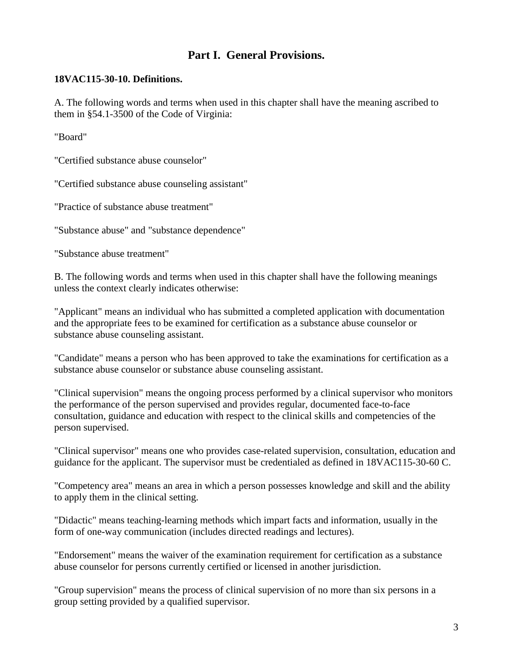# **Part I. General Provisions.**

#### <span id="page-2-1"></span><span id="page-2-0"></span>**18VAC115-30-10. Definitions.**

A. The following words and terms when used in this chapter shall have the meaning ascribed to them in §54.1-3500 of the Code of Virginia:

"Board"

"Certified substance abuse counselor"

"Certified substance abuse counseling assistant"

"Practice of substance abuse treatment"

"Substance abuse" and "substance dependence"

"Substance abuse treatment"

B. The following words and terms when used in this chapter shall have the following meanings unless the context clearly indicates otherwise:

"Applicant" means an individual who has submitted a completed application with documentation and the appropriate fees to be examined for certification as a substance abuse counselor or substance abuse counseling assistant.

"Candidate" means a person who has been approved to take the examinations for certification as a substance abuse counselor or substance abuse counseling assistant.

"Clinical supervision" means the ongoing process performed by a clinical supervisor who monitors the performance of the person supervised and provides regular, documented face-to-face consultation, guidance and education with respect to the clinical skills and competencies of the person supervised.

"Clinical supervisor" means one who provides case-related supervision, consultation, education and guidance for the applicant. The supervisor must be credentialed as defined in 18VAC115-30-60 C.

"Competency area" means an area in which a person possesses knowledge and skill and the ability to apply them in the clinical setting.

"Didactic" means teaching-learning methods which impart facts and information, usually in the form of one-way communication (includes directed readings and lectures).

"Endorsement" means the waiver of the examination requirement for certification as a substance abuse counselor for persons currently certified or licensed in another jurisdiction.

"Group supervision" means the process of clinical supervision of no more than six persons in a group setting provided by a qualified supervisor.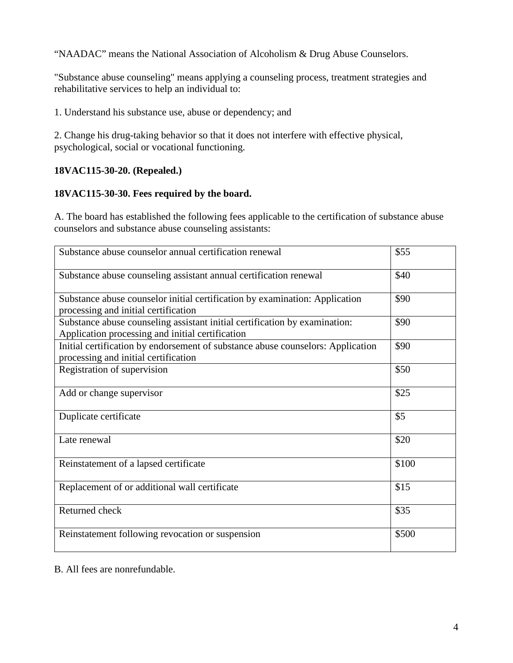"NAADAC" means the National Association of Alcoholism & Drug Abuse Counselors.

"Substance abuse counseling" means applying a counseling process, treatment strategies and rehabilitative services to help an individual to:

1. Understand his substance use, abuse or dependency; and

2. Change his drug-taking behavior so that it does not interfere with effective physical, psychological, social or vocational functioning.

# <span id="page-3-0"></span>**18VAC115-30-20. (Repealed.)**

# <span id="page-3-1"></span>**18VAC115-30-30. Fees required by the board.**

A. The board has established the following fees applicable to the certification of substance abuse counselors and substance abuse counseling assistants:

| Substance abuse counselor annual certification renewal                                                                         | \$55  |
|--------------------------------------------------------------------------------------------------------------------------------|-------|
| Substance abuse counseling assistant annual certification renewal                                                              | \$40  |
| Substance abuse counselor initial certification by examination: Application<br>processing and initial certification            | \$90  |
| Substance abuse counseling assistant initial certification by examination:<br>Application processing and initial certification | \$90  |
| Initial certification by endorsement of substance abuse counselors: Application<br>processing and initial certification        | \$90  |
| Registration of supervision                                                                                                    | \$50  |
| Add or change supervisor                                                                                                       | \$25  |
| Duplicate certificate                                                                                                          | \$5   |
| Late renewal                                                                                                                   | \$20  |
| Reinstatement of a lapsed certificate                                                                                          | \$100 |
| Replacement of or additional wall certificate                                                                                  | \$15  |
| Returned check                                                                                                                 | \$35  |
| Reinstatement following revocation or suspension                                                                               | \$500 |

B. All fees are nonrefundable.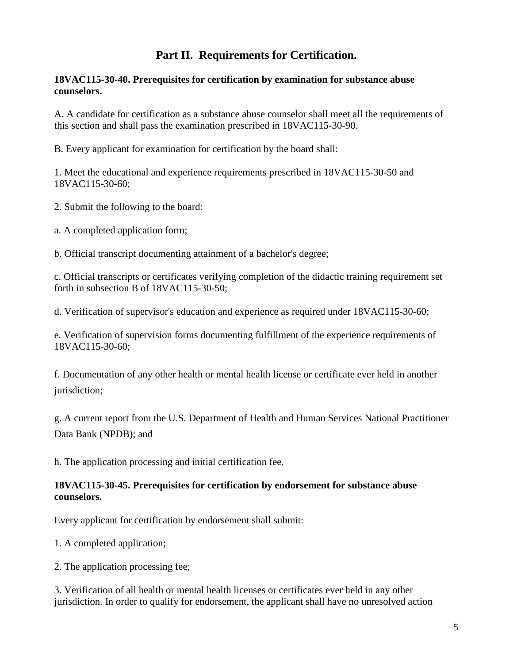# **Part II. Requirements for Certification.**

#### <span id="page-4-1"></span><span id="page-4-0"></span>**18VAC115-30-40. Prerequisites for certification by examination for substance abuse counselors.**

A. A candidate for certification as a substance abuse counselor shall meet all the requirements of this section and shall pass the examination prescribed in 18VAC115-30-90.

B. Every applicant for examination for certification by the board shall:

1. Meet the educational and experience requirements prescribed in 18VAC115-30-50 and 18VAC115-30-60;

2. Submit the following to the board:

a. A completed application form;

b. Official transcript documenting attainment of a bachelor's degree;

c. Official transcripts or certificates verifying completion of the didactic training requirement set forth in subsection B of 18VAC115-30-50;

d. Verification of supervisor's education and experience as required under 18VAC115-30-60;

e. Verification of supervision forms documenting fulfillment of the experience requirements of 18VAC115-30-60;

f. Documentation of any other health or mental health license or certificate ever held in another jurisdiction;

g. A current report from the U.S. Department of Health and Human Services National Practitioner Data Bank (NPDB); and

h. The application processing and initial certification fee.

#### <span id="page-4-2"></span>**18VAC115-30-45. Prerequisites for certification by endorsement for substance abuse counselors.**

Every applicant for certification by endorsement shall submit:

1. A completed application;

2. The application processing fee;

3. Verification of all health or mental health licenses or certificates ever held in any other jurisdiction. In order to qualify for endorsement, the applicant shall have no unresolved action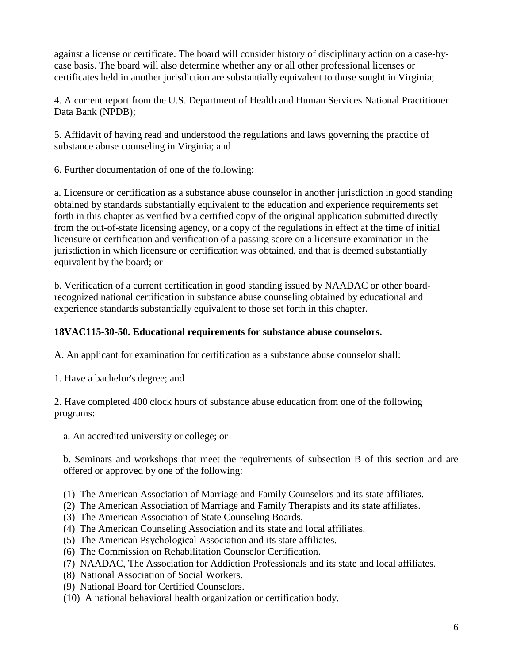against a license or certificate. The board will consider history of disciplinary action on a case-bycase basis. The board will also determine whether any or all other professional licenses or certificates held in another jurisdiction are substantially equivalent to those sought in Virginia;

4. A current report from the U.S. Department of Health and Human Services National Practitioner Data Bank (NPDB);

5. Affidavit of having read and understood the regulations and laws governing the practice of substance abuse counseling in Virginia; and

6. Further documentation of one of the following:

a. Licensure or certification as a substance abuse counselor in another jurisdiction in good standing obtained by standards substantially equivalent to the education and experience requirements set forth in this chapter as verified by a certified copy of the original application submitted directly from the out-of-state licensing agency, or a copy of the regulations in effect at the time of initial licensure or certification and verification of a passing score on a licensure examination in the jurisdiction in which licensure or certification was obtained, and that is deemed substantially equivalent by the board; or

b. Verification of a current certification in good standing issued by NAADAC or other boardrecognized national certification in substance abuse counseling obtained by educational and experience standards substantially equivalent to those set forth in this chapter.

### <span id="page-5-0"></span>**18VAC115-30-50. Educational requirements for substance abuse counselors.**

A. An applicant for examination for certification as a substance abuse counselor shall:

1. Have a bachelor's degree; and

2. Have completed 400 clock hours of substance abuse education from one of the following programs:

a. An accredited university or college; or

b. Seminars and workshops that meet the requirements of subsection B of this section and are offered or approved by one of the following:

- (1) The American Association of Marriage and Family Counselors and its state affiliates.
- (2) The American Association of Marriage and Family Therapists and its state affiliates.
- (3) The American Association of State Counseling Boards.
- (4) The American Counseling Association and its state and local affiliates.
- (5) The American Psychological Association and its state affiliates.
- (6) The Commission on Rehabilitation Counselor Certification.
- (7) NAADAC, The Association for Addiction Professionals and its state and local affiliates.
- (8) National Association of Social Workers.
- (9) National Board for Certified Counselors.
- (10) A national behavioral health organization or certification body.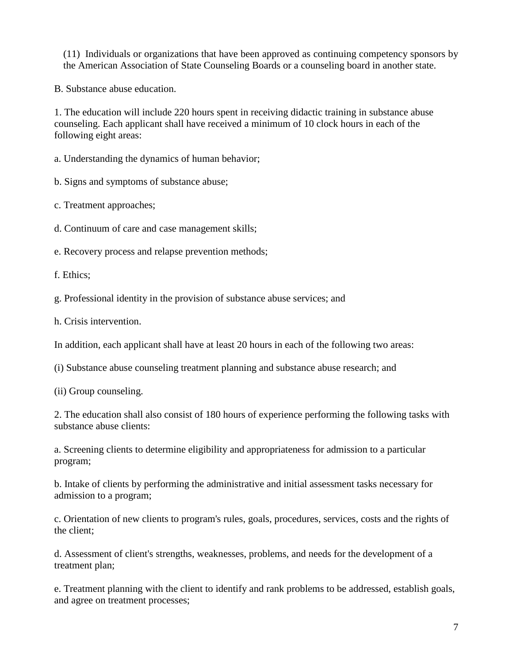(11) Individuals or organizations that have been approved as continuing competency sponsors by the American Association of State Counseling Boards or a counseling board in another state.

B. Substance abuse education.

1. The education will include 220 hours spent in receiving didactic training in substance abuse counseling. Each applicant shall have received a minimum of 10 clock hours in each of the following eight areas:

a. Understanding the dynamics of human behavior;

b. Signs and symptoms of substance abuse;

c. Treatment approaches;

d. Continuum of care and case management skills;

e. Recovery process and relapse prevention methods;

f. Ethics;

g. Professional identity in the provision of substance abuse services; and

h. Crisis intervention.

In addition, each applicant shall have at least 20 hours in each of the following two areas:

(i) Substance abuse counseling treatment planning and substance abuse research; and

(ii) Group counseling.

2. The education shall also consist of 180 hours of experience performing the following tasks with substance abuse clients:

a. Screening clients to determine eligibility and appropriateness for admission to a particular program;

b. Intake of clients by performing the administrative and initial assessment tasks necessary for admission to a program;

c. Orientation of new clients to program's rules, goals, procedures, services, costs and the rights of the client;

d. Assessment of client's strengths, weaknesses, problems, and needs for the development of a treatment plan;

e. Treatment planning with the client to identify and rank problems to be addressed, establish goals, and agree on treatment processes;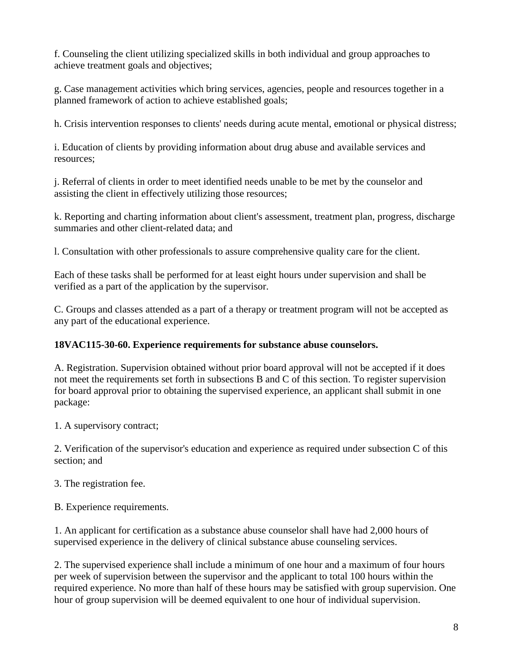f. Counseling the client utilizing specialized skills in both individual and group approaches to achieve treatment goals and objectives;

g. Case management activities which bring services, agencies, people and resources together in a planned framework of action to achieve established goals;

h. Crisis intervention responses to clients' needs during acute mental, emotional or physical distress;

i. Education of clients by providing information about drug abuse and available services and resources;

j. Referral of clients in order to meet identified needs unable to be met by the counselor and assisting the client in effectively utilizing those resources;

k. Reporting and charting information about client's assessment, treatment plan, progress, discharge summaries and other client-related data; and

l. Consultation with other professionals to assure comprehensive quality care for the client.

Each of these tasks shall be performed for at least eight hours under supervision and shall be verified as a part of the application by the supervisor.

C. Groups and classes attended as a part of a therapy or treatment program will not be accepted as any part of the educational experience.

#### <span id="page-7-0"></span>**18VAC115-30-60. Experience requirements for substance abuse counselors.**

A. Registration. Supervision obtained without prior board approval will not be accepted if it does not meet the requirements set forth in subsections B and C of this section. To register supervision for board approval prior to obtaining the supervised experience, an applicant shall submit in one package:

1. A supervisory contract;

2. Verification of the supervisor's education and experience as required under subsection C of this section; and

3. The registration fee.

B. Experience requirements.

1. An applicant for certification as a substance abuse counselor shall have had 2,000 hours of supervised experience in the delivery of clinical substance abuse counseling services.

2. The supervised experience shall include a minimum of one hour and a maximum of four hours per week of supervision between the supervisor and the applicant to total 100 hours within the required experience. No more than half of these hours may be satisfied with group supervision. One hour of group supervision will be deemed equivalent to one hour of individual supervision.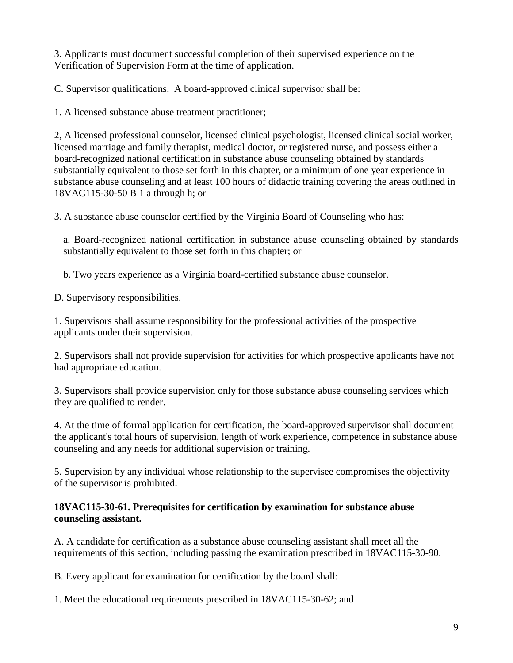3. Applicants must document successful completion of their supervised experience on the Verification of Supervision Form at the time of application.

C. Supervisor qualifications. A board-approved clinical supervisor shall be:

1. A licensed substance abuse treatment practitioner;

2, A licensed professional counselor, licensed clinical psychologist, licensed clinical social worker, licensed marriage and family therapist, medical doctor, or registered nurse, and possess either a board-recognized national certification in substance abuse counseling obtained by standards substantially equivalent to those set forth in this chapter, or a minimum of one year experience in substance abuse counseling and at least 100 hours of didactic training covering the areas outlined in 18VAC115-30-50 B 1 a through h; or

3. A substance abuse counselor certified by the Virginia Board of Counseling who has:

a. Board-recognized national certification in substance abuse counseling obtained by standards substantially equivalent to those set forth in this chapter; or

b. Two years experience as a Virginia board-certified substance abuse counselor.

D. Supervisory responsibilities.

1. Supervisors shall assume responsibility for the professional activities of the prospective applicants under their supervision.

2. Supervisors shall not provide supervision for activities for which prospective applicants have not had appropriate education.

3. Supervisors shall provide supervision only for those substance abuse counseling services which they are qualified to render.

4. At the time of formal application for certification, the board-approved supervisor shall document the applicant's total hours of supervision, length of work experience, competence in substance abuse counseling and any needs for additional supervision or training.

5. Supervision by any individual whose relationship to the supervisee compromises the objectivity of the supervisor is prohibited.

#### <span id="page-8-0"></span>**18VAC115-30-61. Prerequisites for certification by examination for substance abuse counseling assistant.**

A. A candidate for certification as a substance abuse counseling assistant shall meet all the requirements of this section, including passing the examination prescribed in 18VAC115-30-90.

B. Every applicant for examination for certification by the board shall:

1. Meet the educational requirements prescribed in 18VAC115-30-62; and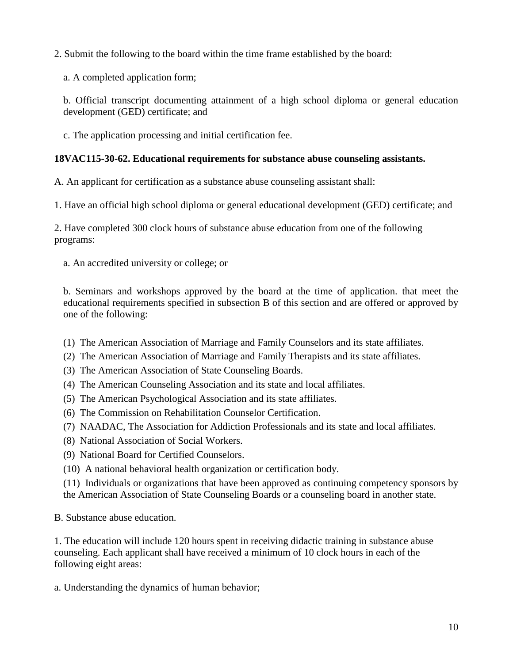2. Submit the following to the board within the time frame established by the board:

a. A completed application form;

b. Official transcript documenting attainment of a high school diploma or general education development (GED) certificate; and

c. The application processing and initial certification fee.

# <span id="page-9-0"></span>**18VAC115-30-62. Educational requirements for substance abuse counseling assistants.**

A. An applicant for certification as a substance abuse counseling assistant shall:

1. Have an official high school diploma or general educational development (GED) certificate; and

2. Have completed 300 clock hours of substance abuse education from one of the following programs:

a. An accredited university or college; or

b. Seminars and workshops approved by the board at the time of application. that meet the educational requirements specified in subsection B of this section and are offered or approved by one of the following:

- (1) The American Association of Marriage and Family Counselors and its state affiliates.
- (2) The American Association of Marriage and Family Therapists and its state affiliates.
- (3) The American Association of State Counseling Boards.
- (4) The American Counseling Association and its state and local affiliates.
- (5) The American Psychological Association and its state affiliates.
- (6) The Commission on Rehabilitation Counselor Certification.
- (7) NAADAC, The Association for Addiction Professionals and its state and local affiliates.
- (8) National Association of Social Workers.
- (9) National Board for Certified Counselors.
- (10) A national behavioral health organization or certification body.

(11) Individuals or organizations that have been approved as continuing competency sponsors by the American Association of State Counseling Boards or a counseling board in another state.

B. Substance abuse education.

1. The education will include 120 hours spent in receiving didactic training in substance abuse counseling. Each applicant shall have received a minimum of 10 clock hours in each of the following eight areas:

a. Understanding the dynamics of human behavior;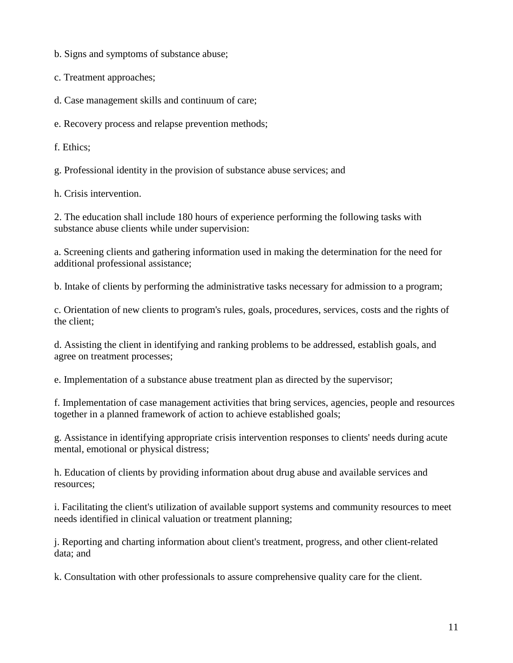b. Signs and symptoms of substance abuse;

c. Treatment approaches;

d. Case management skills and continuum of care;

e. Recovery process and relapse prevention methods;

f. Ethics;

g. Professional identity in the provision of substance abuse services; and

h. Crisis intervention.

2. The education shall include 180 hours of experience performing the following tasks with substance abuse clients while under supervision:

a. Screening clients and gathering information used in making the determination for the need for additional professional assistance;

b. Intake of clients by performing the administrative tasks necessary for admission to a program;

c. Orientation of new clients to program's rules, goals, procedures, services, costs and the rights of the client;

d. Assisting the client in identifying and ranking problems to be addressed, establish goals, and agree on treatment processes;

e. Implementation of a substance abuse treatment plan as directed by the supervisor;

f. Implementation of case management activities that bring services, agencies, people and resources together in a planned framework of action to achieve established goals;

g. Assistance in identifying appropriate crisis intervention responses to clients' needs during acute mental, emotional or physical distress;

h. Education of clients by providing information about drug abuse and available services and resources;

i. Facilitating the client's utilization of available support systems and community resources to meet needs identified in clinical valuation or treatment planning;

j. Reporting and charting information about client's treatment, progress, and other client-related data; and

k. Consultation with other professionals to assure comprehensive quality care for the client.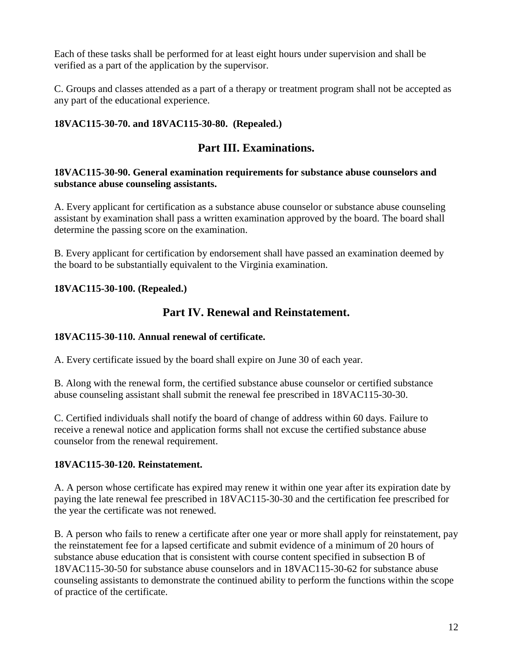Each of these tasks shall be performed for at least eight hours under supervision and shall be verified as a part of the application by the supervisor.

C. Groups and classes attended as a part of a therapy or treatment program shall not be accepted as any part of the educational experience.

## <span id="page-11-1"></span><span id="page-11-0"></span>**18VAC115-30-70. and 18VAC115-30-80. (Repealed.)**

# **Part III. Examinations.**

#### <span id="page-11-2"></span>**18VAC115-30-90. General examination requirements for substance abuse counselors and substance abuse counseling assistants.**

A. Every applicant for certification as a substance abuse counselor or substance abuse counseling assistant by examination shall pass a written examination approved by the board. The board shall determine the passing score on the examination.

B. Every applicant for certification by endorsement shall have passed an examination deemed by the board to be substantially equivalent to the Virginia examination.

#### <span id="page-11-4"></span><span id="page-11-3"></span>**18VAC115-30-100. (Repealed.)**

# **Part IV. Renewal and Reinstatement.**

#### <span id="page-11-5"></span>**18VAC115-30-110. Annual renewal of certificate.**

A. Every certificate issued by the board shall expire on June 30 of each year.

B. Along with the renewal form, the certified substance abuse counselor or certified substance abuse counseling assistant shall submit the renewal fee prescribed in 18VAC115-30-30.

C. Certified individuals shall notify the board of change of address within 60 days. Failure to receive a renewal notice and application forms shall not excuse the certified substance abuse counselor from the renewal requirement.

#### <span id="page-11-6"></span>**18VAC115-30-120. Reinstatement.**

A. A person whose certificate has expired may renew it within one year after its expiration date by paying the late renewal fee prescribed in 18VAC115-30-30 and the certification fee prescribed for the year the certificate was not renewed.

B. A person who fails to renew a certificate after one year or more shall apply for reinstatement, pay the reinstatement fee for a lapsed certificate and submit evidence of a minimum of 20 hours of substance abuse education that is consistent with course content specified in subsection B of 18VAC115-30-50 for substance abuse counselors and in 18VAC115-30-62 for substance abuse counseling assistants to demonstrate the continued ability to perform the functions within the scope of practice of the certificate.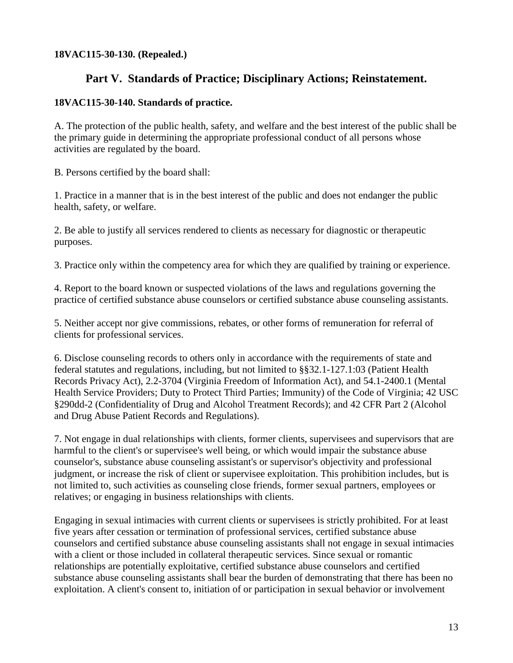#### <span id="page-12-1"></span><span id="page-12-0"></span>**18VAC115-30-130. (Repealed.)**

# **Part V. Standards of Practice; Disciplinary Actions; Reinstatement.**

#### <span id="page-12-2"></span>**18VAC115-30-140. Standards of practice.**

A. The protection of the public health, safety, and welfare and the best interest of the public shall be the primary guide in determining the appropriate professional conduct of all persons whose activities are regulated by the board.

B. Persons certified by the board shall:

1. Practice in a manner that is in the best interest of the public and does not endanger the public health, safety, or welfare.

2. Be able to justify all services rendered to clients as necessary for diagnostic or therapeutic purposes.

3. Practice only within the competency area for which they are qualified by training or experience.

4. Report to the board known or suspected violations of the laws and regulations governing the practice of certified substance abuse counselors or certified substance abuse counseling assistants.

5. Neither accept nor give commissions, rebates, or other forms of remuneration for referral of clients for professional services.

6. Disclose counseling records to others only in accordance with the requirements of state and federal statutes and regulations, including, but not limited to §§32.1-127.1:03 (Patient Health Records Privacy Act), 2.2-3704 (Virginia Freedom of Information Act), and 54.1-2400.1 (Mental Health Service Providers; Duty to Protect Third Parties; Immunity) of the Code of Virginia; 42 USC §290dd-2 (Confidentiality of Drug and Alcohol Treatment Records); and 42 CFR Part 2 (Alcohol and Drug Abuse Patient Records and Regulations).

7. Not engage in dual relationships with clients, former clients, supervisees and supervisors that are harmful to the client's or supervisee's well being, or which would impair the substance abuse counselor's, substance abuse counseling assistant's or supervisor's objectivity and professional judgment, or increase the risk of client or supervisee exploitation. This prohibition includes, but is not limited to, such activities as counseling close friends, former sexual partners, employees or relatives; or engaging in business relationships with clients.

Engaging in sexual intimacies with current clients or supervisees is strictly prohibited. For at least five years after cessation or termination of professional services, certified substance abuse counselors and certified substance abuse counseling assistants shall not engage in sexual intimacies with a client or those included in collateral therapeutic services. Since sexual or romantic relationships are potentially exploitative, certified substance abuse counselors and certified substance abuse counseling assistants shall bear the burden of demonstrating that there has been no exploitation. A client's consent to, initiation of or participation in sexual behavior or involvement